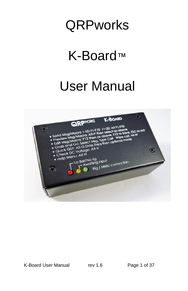# **QRPworks**

# K-Board™

# User Manual

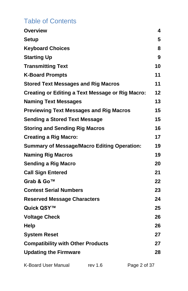# Table of Contents

| <b>Overview</b>                                         | 4  |
|---------------------------------------------------------|----|
| Setup                                                   | 5  |
| <b>Keyboard Choices</b>                                 | 8  |
| <b>Starting Up</b>                                      | 9  |
| <b>Transmitting Text</b>                                | 10 |
| <b>K-Board Prompts</b>                                  | 11 |
| <b>Stored Text Messages and Rig Macros</b>              | 11 |
| <b>Creating or Editing a Text Message or Rig Macro:</b> | 12 |
| <b>Naming Text Messages</b>                             | 13 |
| <b>Previewing Text Messages and Rig Macros</b>          | 15 |
| <b>Sending a Stored Text Message</b>                    | 15 |
| <b>Storing and Sending Rig Macros</b>                   | 16 |
| <b>Creating a Rig Macro:</b>                            | 17 |
| <b>Summary of Message/Macro Editing Operation:</b>      | 19 |
| <b>Naming Rig Macros</b>                                | 19 |
| Sending a Rig Macro                                     | 20 |
| <b>Call Sign Entered</b>                                | 21 |
| Grab & Go™                                              | 22 |
| <b>Contest Serial Numbers</b>                           | 23 |
| <b>Reserved Message Characters</b>                      | 24 |
| Quick QSY™                                              | 25 |
| <b>Voltage Check</b>                                    | 26 |
| Help                                                    | 26 |
| <b>System Reset</b>                                     | 27 |
| <b>Compatibility with Other Products</b>                | 27 |
| <b>Updating the Firmware</b>                            | 28 |
|                                                         |    |

K-Board User Manual rev 1.6 Page 2 of 37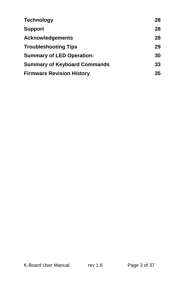| <b>Technology</b>                   | 28 |
|-------------------------------------|----|
| <b>Support</b>                      | 28 |
| <b>Acknowledgements</b>             | 28 |
| <b>Troubleshooting Tips</b>         | 29 |
| <b>Summary of LED Operation:</b>    | 30 |
| <b>Summary of Keyboard Commands</b> | 33 |
| <b>Firmware Revision History</b>    | 35 |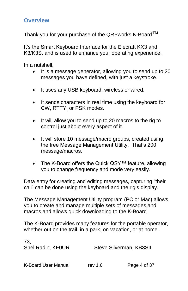#### <span id="page-3-0"></span>**Overview**

Thank you for your purchase of the QRPworks K-Board™.

It's the Smart Keyboard Interface for the Elecraft KX3 and K3/K3S, and is used to enhance your operating experience.

In a nutshell,

- It is a message generator, allowing you to send up to 20 messages you have defined, with just a keystroke.
- It uses any USB keyboard, wireless or wired.
- It sends characters in real time using the keyboard for CW, RTTY, or PSK modes.
- It will allow you to send up to 20 macros to the rig to control just about every aspect of it.
- It will store 10 message/macro groups, created using the free Message Management Utility. That's 200 message/macros.
- The K-Board offers the Quick QSY™ feature, allowing you to change frequency and mode very easily.

Data entry for creating and editing messages, capturing "their call" can be done using the keyboard and the rig's display.

The Message Management Utility program (PC or Mac) allows you to create and manage multiple sets of messages and macros and allows quick downloading to the K-Board.

The K-Board provides many features for the portable operator, whether out on the trail, in a park, on vacation, or at home.

| 73.<br>Shel Radin, KF0UR | Steve Silverman, KB3SII |              |
|--------------------------|-------------------------|--------------|
| K-Board User Manual      | rev 1.6                 | Page 4 of 37 |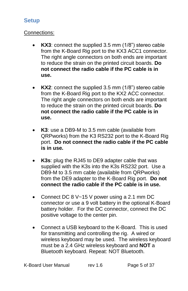## <span id="page-4-0"></span>**Setup**

#### Connections:

- **KX3**: connect the supplied 3.5 mm (1/8") stereo cable from the K-Board Rig port to the KX3 ACC1 connector. The right angle connectors on both ends are important to reduce the strain on the printed circuit boards. **Do not connect the radio cable if the PC cable is in use.**
- **KX2:** connect the supplied 3.5 mm (1/8") stereo cable from the K-Board Rig port to the KX2 ACC connector. The right angle connectors on both ends are important to reduce the strain on the printed circuit boards. **Do not connect the radio cable if the PC cable is in use.**
- **K3**: use a DB9-M to 3.5 mm cable (available from QRPworks) from the K3 RS232 port to the K-Board Rig port. **Do not connect the radio cable if the PC cable is in use.**
- **K3s**: plug the RJ45 to DE9 adapter cable that was supplied with the K3s into the K3s RS232 port. Use a DB9-M to 3.5 mm cable (available from QRPworks) from the DE9 adapter to the K-Board Rig port. **Do not connect the radio cable if the PC cable is in use.**
- Connect DC 8 V~15 V power using a 2.1 mm DC connector or use a 9 volt battery in the optional K-Board battery holder. For the DC connector, connect the DC positive voltage to the center pin.
- Connect a USB keyboard to the K-Board. This is used for transmitting and controlling the rig. A wired or wireless keyboard may be used. The wireless keyboard must be a 2.4 GHz wireless keyboard and **NOT** a Bluetooth keyboard. Repeat: NOT Bluetooth.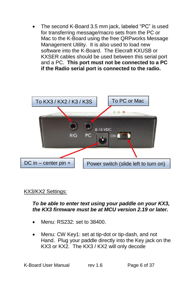The second K-Board 3.5 mm jack, labeled "PC" is used for transferring message/macro sets from the PC or Mac to the K-Board using the free QRPworks Message Management Utility. It is also used to load new software into the K-Board. The Elecraft KXUSB or KXSER cables should be used between this serial port and a PC. **This port must not be connected to a PC if the Radio serial port is connected to the radio.** 



#### KX3/KX2 Settings:

#### *To be able to enter text using your paddle on your KX3, the KX3 firmware must be at MCU version 2.19 or later.*

- Menu: RS232: set to 38400.
- Menu: CW Key1: set at tip-dot or tip-dash, and not Hand. Plug your paddle directly into the Key jack on the KX3 or KX2. The KX3 / KX2 will only decode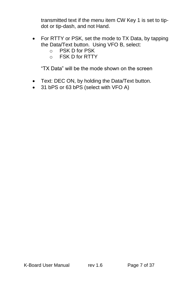transmitted text if the menu item CW Key 1 is set to tipdot or tip-dash, and not Hand.

- For RTTY or PSK, set the mode to TX Data, by tapping the Data/Text button. Using VFO B, select:
	- o PSK D for PSK
	- o FSK D for RTTY

"TX Data" will be the mode shown on the screen

- Text: DEC ON, by holding the Data/Text button.
- 31 bPS or 63 bPS (select with VFO A)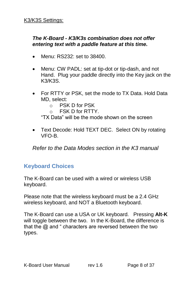#### *The K-Board - K3/K3s combination does not offer entering text with a paddle feature at this time.*

- Menu: RS232: set to 38400.
- Menu: CW PADL: set at tip-dot or tip-dash, and not Hand. Plug your paddle directly into the Key jack on the K3/K3S.
- For RTTY or PSK, set the mode to TX Data. Hold Data MD, select:
	- o PSK D for PSK
	- $\circ$  FSK D for RTTY.

"TX Data" will be the mode shown on the screen

• Text Decode: Hold TEXT DEC. Select ON by rotating VFO-B.

*Refer to the Data Modes section in the K3 manual*

### <span id="page-7-0"></span>**Keyboard Choices**

The K-Board can be used with a wired or wireless USB keyboard.

Please note that the wireless keyboard must be a 2.4 GHz wireless keyboard, and NOT a Bluetooth keyboard.

The K-Board can use a USA or UK keyboard. Pressing **Alt-K** will toggle between the two. In the K-Board, the difference is that the  $\omega$  and " characters are reversed between the two types.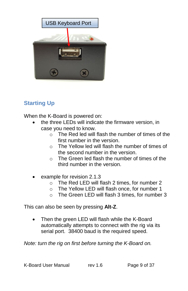

# <span id="page-8-0"></span>**Starting Up**

When the K-Board is powered on:

- the three LEDs will indicate the firmware version, in case you need to know.
	- o The Red led will flash the number of times of the first number in the version.
	- o The Yellow led will flash the number of times of the second number in the version.
	- $\circ$  The Green led flash the number of times of the third number in the version.
- example for revision 2.1.3
	- o The Red LED will flash 2 times, for number 2
	- o The Yellow LED will flash once, for number 1
	- o The Green LED will flash 3 times, for number 3

This can also be seen by pressing **Alt-Z**.

 Then the green LED will flash while the K-Board automatically attempts to connect with the rig via its serial port. 38400 baud is the required speed.

*Note: turn the rig on first before turning the K-Board on.*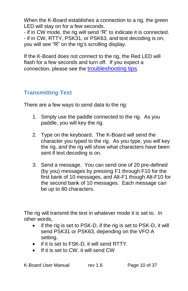When the K-Board establishes a connection to a rig, the green LED will stay on for a few seconds.

- if in CW mode, the rig will send "R" to indicate it is connected. - if in CW, RTTY, PSK31, or PSK63, and text decoding is on, you will see "R" on the rig's scrolling display.

If the K-Board does not connect to the rig, the Red LED will flash for a few seconds and turn off. If you expect a connection, please see the **troubleshooting tips**.

# <span id="page-9-0"></span>**Transmitting Text**

There are a few ways to send data to the rig:

- 1. Simply use the paddle connected to the rig. As you paddle, you will key the rig.
- 2. Type on the keyboard. The K-Board will send the character you typed to the rig. As you type, you will key the rig, and the rig will show what characters have been sent if text decoding is on.
- 3. Send a message. You can send one of 20 pre-defined (by you) messages by pressing F1 through F10 for the first bank of 10 messages, and Alt-F1 though Alt-F10 for the second bank of 10 messages. Each message can be up to 80 characters.

The rig will transmit the text in whatever mode it is set to. In other words,

- if the rig is set to PSK-D, if the rig is set to PSK-D, it will send PSK31 or PSK63, depending on the VFO A setting.
- if it is set to FSK-D, it will send RTTY.
- If it is set to CW, it will send CW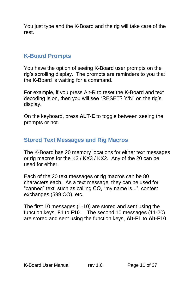You just type and the K-Board and the rig will take care of the rest.

## <span id="page-10-0"></span>**K-Board Prompts**

You have the option of seeing K-Board user prompts on the rig's scrolling display. The prompts are reminders to you that the K-Board is waiting for a command.

For example, if you press Alt-R to reset the K-Board and text decoding is on, then you will see "RESET? Y/N" on the rig's display.

On the keyboard, press **ALT-E** to toggle between seeing the prompts or not.

## <span id="page-10-1"></span>**Stored Text Messages and Rig Macros**

The K-Board has 20 memory locations for either text messages or rig macros for the K3 / KX3 / KX2. Any of the 20 can be used for either.

Each of the 20 text messages or rig macros can be 80 characters each. As a text message, they can be used for "canned" text, such as calling CQ, "my name is...", contest exchanges (599 CO), etc.

The first 10 messages (1-10) are stored and sent using the function keys, **F1** to **F10**. The second 10 messages (11-20) are stored and sent using the function keys, **Alt-F1** to **Alt-F10**.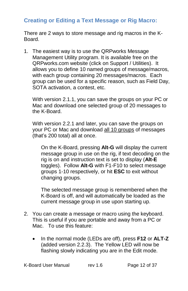## <span id="page-11-0"></span>**Creating or Editing a Text Message or Rig Macro:**

There are 2 ways to store message and rig macros in the K-Board.

1. The easiest way is to use the QRPworks Message Management Utility program. It is available free on the QRPworks.com website (click on Support / Utilities). It allows you to define 10 named groups of message/macros, with each group containing 20 messages/macros. Each group can be used for a specific reason, such as Field Day, SOTA activation, a contest, etc.

With version 2.1.1, you can save the groups on your PC or Mac and download one selected group of 20 messages to the K-Board.

With version 2.2.1 and later, you can save the groups on your PC or Mac and download all 10 groups of messages (that's 200 total) all at once.

On the K-Board, pressing **Alt-G** will display the current message group in use on the rig, if text decoding on the rig is on and instruction text is set to display (**Alt-E** toggles). Follow **Alt-G** with F1-F10 to select message groups 1-10 respectively, or hit **ESC** to exit without changing groups.

The selected message group is remembered when the K-Board is off, and will automatically be loaded as the current message group in use upon starting up.

- 2. You can create a message or macro using the keyboard. This is useful if you are portable and away from a PC or Mac. To use this feature:
	- In the normal mode (LEDs are off), press **F12** or **ALT-Z**  (added version 2.2.3). The Yellow LED will now be flashing slowly indicating you are in the Edit mode.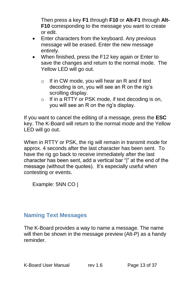Then press a key **F1** through **F10** or **Alt-F1** through **Alt-F10** corresponding to the message you want to create or edit.

- Enter characters from the keyboard. Any previous message will be erased. Enter the new message entirely.
- When finished, press the F12 key again or Enter to save the changes and return to the normal mode. The Yellow LED will go out.
	- $\circ$  If in CW mode, you will hear an R and if text decoding is on, you will see an R on the rig's scrolling display.
	- o If in a RTTY or PSK mode, if text decoding is on, you will see an R on the rig's display.

If you want to cancel the editing of a message, press the **ESC** key. The K-Board will return to the normal mode and the Yellow LED will go out.

When in RTTY or PSK, the rig will remain in transmit mode for approx. 4 seconds after the last character has been sent. To have the rig go back to receive immediately after the last character has been sent, add a vertical bar "|" at the end of the message (without the quotes). It's especially useful when contesting or events.

Example: 5NN CO |

### <span id="page-12-0"></span>**Naming Text Messages**

The K-Board provides a way to name a message. The name will then be shown in the message preview (Alt-P) as a handy reminder.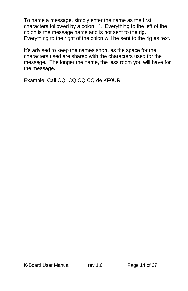To name a message, simply enter the name as the first characters followed by a colon ":". Everything to the left of the colon is the message name and is not sent to the rig. Everything to the right of the colon will be sent to the rig as text.

It's advised to keep the names short, as the space for the characters used are shared with the characters used for the message. The longer the name, the less room you will have for the message.

<span id="page-13-0"></span>Example: Call CQ: CQ CQ CQ de KF0UR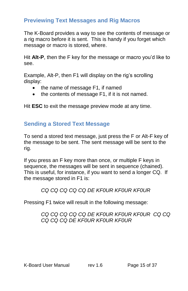# <span id="page-14-0"></span>**Previewing Text Messages and Rig Macros**

The K-Board provides a way to see the contents of message or a rig macro before it is sent. This is handy if you forget which message or macro is stored, where.

Hit **Alt-P**, then the F key for the message or macro you'd like to see.

Example, Alt-P, then F1 will display on the rig's scrolling display:

- the name of message F1, if named
- the contents of message F1, if it is not named.

<span id="page-14-1"></span>Hit **ESC** to exit the message preview mode at any time.

# **Sending a Stored Text Message**

To send a stored text message, just press the F or Alt-F key of the message to be sent. The sent message will be sent to the rig.

If you press an F key more than once, or multiple F keys in sequence, the messages will be sent in sequence (chained). This is useful, for instance, if you want to send a longer CQ. If the message stored in F1 is:

### *CQ CQ CQ CQ CQ DE KF0UR KF0UR KF0UR*

Pressing F1 twice will result in the following message:

#### *CQ CQ CQ CQ CQ DE KF0UR KF0UR KF0UR CQ CQ CQ CQ CQ DE KF0UR KF0UR KF0UR*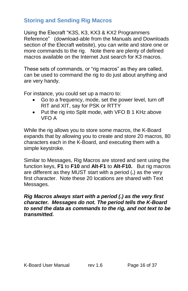## <span id="page-15-0"></span>**Storing and Sending Rig Macros**

Using the Elecraft ["K3S, K3, KX3 & KX2](http://www.elecraft.com/manual/K3&KX3%20Pgmrs%20Ref,%20E2.pdf) Programmers [Reference"](http://www.elecraft.com/manual/K3&KX3%20Pgmrs%20Ref,%20E2.pdf) (download-able from the Manuals and Downloads section of the Elecraft website), you can write and store one or more commands to the rig. Note there are plenty of defined macros available on the Internet Just search for K3 macros.

These sets of commands, or "rig macros" as they are called, can be used to command the rig to do just about anything and are very handy.

For instance, you could set up a macro to:

- Go to a frequency, mode, set the power level, turn off RIT and XIT, say for PSK or RTTY
- Put the rig into Split mode, with VFO B 1 KHz above VFO A

While the rig allows you to store some macros, the K-Board expands that by allowing you to create and store 20 macros, 80 characters each in the K-Board, and executing them with a simple keystroke.

Similar to Messages, Rig Macros are stored and sent using the function keys, **F1** to **F10** and **Alt-F1** to **Alt-F10.** But rig macros are different as they MUST start with a period (**.**) as the very first character. Note these 20 locations are shared with Text Messages.

#### *Rig Macros always start with a period (.) as the very first character. Messages do not. The period tells the K-Board to send the data as commands to the rig, and not text to be transmitted.*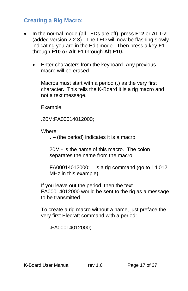## <span id="page-16-0"></span>**Creating a Rig Macro:**

- In the normal mode (all LEDs are off), press **F12** or **ALT-Z**  (added version 2.2.3). The LED will now be flashing slowly indicating you are in the Edit mode. Then press a key **F1** through **F10 or Alt-F1** through **Alt-F10.**
	- **Enter characters from the keyboard. Any previous** macro will be erased.

Macros must start with a period (**.**) as the very first character. This tells the K-Board it is a rig macro and not a text message.

Example:

**.**20M:FA00014012000;

Where:

**.** – (the period) indicates it is a macro

20M - is the name of this macro. The colon separates the name from the macro.

FA00014012000; – is a rig command (go to 14.012 MHz in this example)

If you leave out the period, then the text FA00014012000 would be sent to the rig as a message to be transmitted.

To create a rig macro without a name, just preface the very first Elecraft command with a period:

**.**FA00014012000;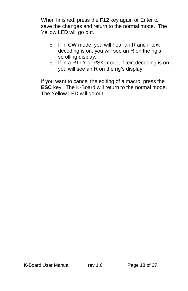When finished, press the **F12** key again or Enter to save the changes and return to the normal mode. The Yellow LED will go out.

- o If in CW mode, you will hear an R and if text decoding is on, you will see an R on the rig's scrolling display.
- o If in a RTTY or PSK mode, if text decoding is on, you will see an R on the rig's display.
- o If you want to cancel the editing of a macro, press the **ESC** key. The K-Board will return to the normal mode. The Yellow LED will go out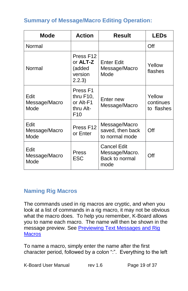# <span id="page-18-0"></span>**Summary of Message/Macro Editing Operation:**

| <b>Mode</b>                   | <b>Action</b>                                                                 | <b>Result</b>                                                  | <b>LEDs</b>                       |
|-------------------------------|-------------------------------------------------------------------------------|----------------------------------------------------------------|-----------------------------------|
| Normal                        |                                                                               |                                                                | Off                               |
| Normal                        | Press F12<br>or <b>ALT-Z</b><br>(added<br>version<br>2.2.3)                   | <b>Enter Edit</b><br>Message/Macro<br>Mode                     | Yellow<br>flashes                 |
| Edit<br>Message/Macro<br>Mode | Press <sub>F1</sub><br>thru F10,<br>or Alt-F1<br>thru Alt-<br>F <sub>10</sub> | Enter new<br>Message/Macro                                     | Yellow<br>continues<br>to flashes |
| Edit<br>Message/Macro<br>Mode | Press F12<br>or Enter                                                         | Message/Macro<br>saved, then back<br>to normal mode            | Off                               |
| Edit<br>Message/Macro<br>Mode | Press<br><b>ESC</b>                                                           | <b>Cancel Edit</b><br>Message/Macro.<br>Back to normal<br>mode | Off                               |

### <span id="page-18-1"></span>**Naming Rig Macros**

The commands used in rig macros are cryptic, and when you look at a list of commands in a rig macro, it may not be obvious what the macro does. To help you remember, K-Board allows you to name each macro. The name will then be shown in the message preview. See Previewing Text Messages and Rig **[Macros](#page-13-0)** 

To name a macro, simply enter the name after the first character period, followed by a colon ":". Everything to the left

K-Board User Manual rev 1.6 Page 19 of 37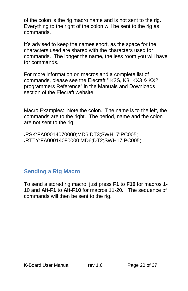of the colon is the rig macro name and is not sent to the rig. Everything to the right of the colon will be sent to the rig as commands.

It's advised to keep the names short, as the space for the characters used are shared with the characters used for commands. The longer the name, the less room you will have for commands.

For more information on macros and a complete list of commands, please see the Elecraft " [K3S, K3, KX3 & KX2](http://www.elecraft.com/manual/K3&KX3%20Pgmrs%20Ref,%20E2.pdf) [programmers Reference"](http://www.elecraft.com/manual/K3&KX3%20Pgmrs%20Ref,%20E2.pdf) in the Manuals and Downloads section of the Elecraft website.

Macro Examples: Note the colon. The name is to the left, the commands are to the right. The period, name and the colon are not sent to the rig.

**.**PSK:FA00014070000;MD6;DT3;SWH17;PC005; **.**RTTY:FA00014080000;MD6;DT2;SWH17;PC005;

# <span id="page-19-0"></span>**Sending a Rig Macro**

To send a stored rig macro, just press **F1** to **F10** for macros 1- 10 and **Alt-F1** to **Alt-F10** for macros 11-20**.** The sequence of commands will then be sent to the rig.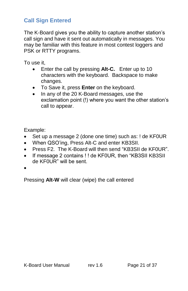# <span id="page-20-0"></span>**Call Sign Entered**

The K-Board gives you the ability to capture another station's call sign and have it sent out automatically in messages. You may be familiar with this feature in most contest loggers and PSK or RTTY programs.

To use it,

- Enter the call by pressing **Alt-C.** Enter up to 10 characters with the keyboard. Backspace to make changes.
- To Save it, press **Enter** on the keyboard.
- In any of the 20 K-Board messages, use the exclamation point (!) where you want the other station's call to appear.

Example:

- Set up a message 2 (done one time) such as: ! de KF0UR
- When QSO'ing, Press Alt-C and enter KB3SII.
- Press F2. The K-Board will then send "KB3SII de KF0UR".
- If message 2 contains ! ! de KF0UR, then "KB3SII KB3SII de KF0UR" will be sent.
- $\bullet$

Pressing **Alt-W** will clear (wipe) the call entered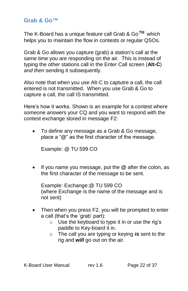#### <span id="page-21-0"></span>**Grab & Go™**

The K-Board has a unique feature call Grab &  $Go^{TM}$  which helps you to maintain the flow in contests or regular QSOs.

Grab & Go allows you capture (grab) a station's call at the same time you are responding on the air. This is instead of typing the other stations call in the Enter Call screen (**Alt-C**) *and then* sending it subsequently.

Also note that when you use Alt-C to captutre a call, the call entered is not transmitted. When you use Grab & Go to capture a call, the call IS transmitted.

Here's how it works. Shown is an example for a contest where someone answers your CQ and you want to respond with the contest exchange stored in message F2:

 To define any message as a Grab & Go message, place a "**@**" as the first character of the message.

Example: @ TU 599 CO

 If you name you message, put the **@** after the colon, as the first character of the message to be sent.

Example: Exchange:@ TU 599 CO (where Exchange is the name of the message and is not sent)

- Then when you press F2, you will be prompted to enter a call (that's the 'grab' part):
	- o Use the keyboard to type it in or use the rig's paddle to Key-board it in.
	- o The call you are typing or keying *is* sent to the rig and *will* go out on the air.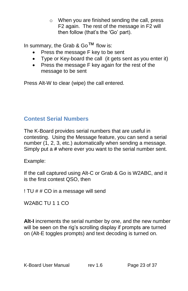o When you are finished sending the call, press F2 again. The rest of the message in F2 will then follow (that's the 'Go' part).

In summary, the Grab & Go™ flow is:

- Press the message F key to be sent
- Type or Key-board the call (it gets sent as you enter it)
- Press the message F key again for the rest of the message to be sent

Press Alt-W to clear (wipe) the call entered.

# <span id="page-22-0"></span>**Contest Serial Numbers**

The K-Board provides serial numbers that are useful in contesting. Using the Message feature, you can send a serial number (1, 2, 3, etc.) automatically when sending a message. Simply put a **#** where ever you want to the serial number sent.

Example:

If the call captured using Alt-C or Grab & Go is W2ABC, and it is the first contest QSO, then

! TU # # CO in a message will send

W2ABC TU 1 1 CO

**Alt-I** increments the serial number by one, and the new number will be seen on the rig's scrolling display if prompts are turned on (Alt-E toggles prompts) and text decoding is turned on.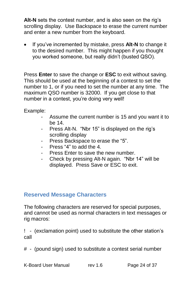**Alt-N** sets the contest number, and is also seen on the rig's scrolling display. Use Backspace to erase the current number and enter a new number from the keyboard.

 If you've incremented by mistake, press **Alt-N** to change it to the desired number. This might happen if you thought you worked someone, but really didn't (busted QSO).

Press **Enter** to save the change or **ESC** to exit without saving. This should be used at the beginning of a contest to set the number to 1, or if you need to set the number at any time. The maximum QSO number is 32000. If you get close to that number in a contest, you're doing very well!

Example:

- Assume the current number is 15 and you want it to be 14.
- Press Alt-N. "Nbr 15" is displayed on the rig's scrolling display
- Press Backspace to erase the "5".
- Press "4" to add the 4.
- Press Enter to save the new number.
- Check by pressing Alt-N again. "Nbr 14" will be displayed. Press Save or ESC to exit.

#### <span id="page-23-0"></span>**Reserved Message Characters**

The following characters are reserved for special purposes, and cannot be used as normal characters in text messages or rig macros:

! - (exclamation point) used to substitute the other station's call

# - (pound sign) used to substitute a contest serial number

K-Board User Manual rev 1.6 Page 24 of 37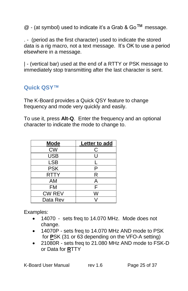$@$  - (at symbol) used to indicate it's a Grab & Go<sup>TM</sup> message.

. - (period as the first character) used to indicate the stored data is a rig macro, not a text message. It's OK to use a period elsewhere in a message.

| - (vertical bar) used at the end of a RTTY or PSK message to immediately stop transmitting after the last character is sent.

# <span id="page-24-0"></span>**Quick QSY™**

The K-Board provides a Quick QSY feature to change frequency and mode very quickly and easily.

To use it, press **Alt-Q**. Enter the frequency and an optional character to indicate the mode to change to.

| <b>Mode</b>   | Letter to add |
|---------------|---------------|
| <b>CW</b>     | С             |
| <b>USB</b>    | U             |
| <b>LSB</b>    |               |
| <b>PSK</b>    | Р             |
| <b>RTTY</b>   | R             |
| AM            | Α             |
| FM            | F             |
| <b>CW REV</b> | w             |
| Data Rev      |               |

Examples:

- 14070 sets freq to 14.070 MHz. Mode does not change.
- 14070P sets freq to 14.070 MHz AND mode to PSK for **P**SK (31 or 63 depending on the VFO-A setting)
- 21080R sets freq to 21.080 MHz AND mode to FSK-D or Data for **R**TTY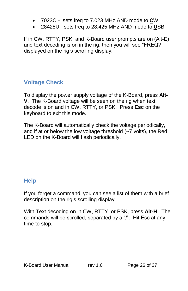- 7023C sets freq to 7.023 MHz AND mode to **C**W
- 28425U sets freq to 28.425 MHz AND mode to **U**SB

If in CW, RTTY, PSK, and K-Board user prompts are on (Alt-E) and text decoding is on in the rig, then you will see "FREQ? displayed on the rig's scrolling display.

# <span id="page-25-0"></span>**Voltage Check**

To display the power supply voltage of the K-Board, press **Alt-V**. The K-Board voltage will be seen on the rig when text decode is on and in CW, RTTY, or PSK. Press **Esc** on the keyboard to exit this mode.

The K-Board will automatically check the voltage periodically, and if at or below the low voltage threshold (~7 volts), the Red LED on the K-Board will flash periodically.

# <span id="page-25-1"></span>**Help**

If you forget a command, you can see a list of them with a brief description on the rig's scrolling display.

With Text decoding on in CW, RTTY, or PSK, press **Alt-H**. The commands will be scrolled, separated by a "/". Hit Esc at any time to stop.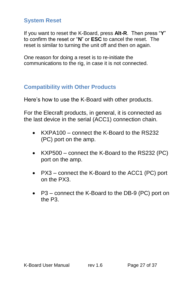## <span id="page-26-0"></span>**System Reset**

If you want to reset the K-Board, press **Alt-R**. Then press "**Y**" to confirm the reset or "**N**" or **ESC** to cancel the reset. The reset is similar to turning the unit off and then on again.

One reason for doing a reset is to re-initiate the communications to the rig, in case it is not connected.

# <span id="page-26-1"></span>**Compatibility with Other Products**

Here's how to use the K-Board with other products.

For the Elecraft products, in general, it is connected as the last device in the serial (ACC1) connection chain.

- KXPA100 connect the K-Board to the RS232 (PC) port on the amp.
- KXP500 connect the K-Board to the RS232 (PC) port on the amp.
- PX3 connect the K-Board to the ACC1 (PC) port on the PX3.
- P3 connect the K-Board to the DB-9 (PC) port on the P3.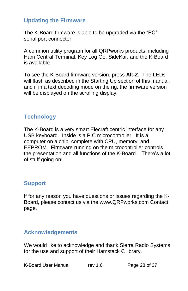## <span id="page-27-0"></span>**Updating the Firmware**

The K-Board firmware is able to be upgraded via the "PC" serial port connector.

A common utility program for all QRPworks products, including Ham Central Terminal, Key Log Go, SideKar, and the K-Board is available.

To see the K-Board firmware version, press **Alt-Z.** The LEDs will flash as described in the Starting Up section of this manual, and if in a text decoding mode on the rig, the firmware version will be displayed on the scrolling display.

## <span id="page-27-1"></span>**Technology**

The K-Board is a very smart Elecraft centric interface for any USB keyboard. Inside is a PIC microcontroller. It is a computer on a chip, complete with CPU, memory, and EEPROM. Firmware running on the microcontroller controls the presentation and all functions of the K-Board. There's a lot of stuff going on!

### <span id="page-27-2"></span>**Support**

If for any reason you have questions or issues regarding the K-Board, please contact us via the www.QRPworks.com Contact page.

#### <span id="page-27-3"></span>**Acknowledgements**

We would like to acknowledge and thank Sierra Radio Systems for the use and support of their Hamstack C library.

K-Board User Manual rev 1.6 Page 28 of 37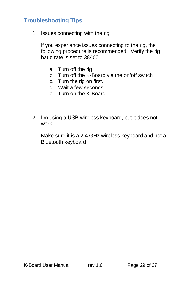## <span id="page-28-0"></span>**Troubleshooting Tips**

1. Issues connecting with the rig

If you experience issues connecting to the rig, the following procedure is recommended. Verify the rig baud rate is set to 38400.

- a. Turn off the rig
- b. Turn off the K-Board via the on/off switch
- c. Turn the rig on first.
- d. Wait a few seconds
- e. Turn on the K-Board
- 2. I'm using a USB wireless keyboard, but it does not work.

Make sure it is a 2.4 GHz wireless keyboard and not a Bluetooth keyboard.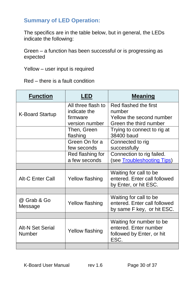#### <span id="page-29-0"></span>**Summary of LED Operation:**

The specifics are in the table below, but in general, the LEDs indicate the following:

Green – a function has been successful or is progressing as expected

Yellow – user input is required

Red – there is a fault condition

| <b>Function</b>         | LED                | <b>Meaning</b>                     |
|-------------------------|--------------------|------------------------------------|
|                         | All three flash to | Red flashed the first              |
| <b>K-Board Startup</b>  | indicate the       | number                             |
|                         | firmware           | Yellow the second number           |
|                         | version number     | Green the third number             |
|                         | Then, Green        | Trying to connect to rig at        |
|                         | flashing           | 38400 baud                         |
|                         | Green On for a     | Connected to rig                   |
|                         | few seconds        | successfully                       |
|                         | Red flashing for   | Connection to rig failed.          |
|                         | a few seconds      | (see <b>Troubleshooting Tips</b> ) |
|                         |                    |                                    |
|                         |                    | Waiting for call to be             |
| <b>Alt-C Enter Call</b> | Yellow flashing    | entered. Enter call followed       |
|                         |                    | by Enter, or hit ESC.              |
|                         |                    |                                    |
| @ Grab & Go             |                    | Waiting for call to be             |
| Message                 | Yellow flashing    | entered. Enter call followed       |
|                         |                    | by same F key, or hit ESC.         |
|                         |                    |                                    |
|                         |                    | Waiting for number to be           |
| <b>Alt-N Set Serial</b> | Yellow flashing    | entered. Enter number              |
| Number                  |                    | followed by Enter, or hit          |
|                         |                    | ESC.                               |
|                         |                    |                                    |

K-Board User Manual rev 1.6 Page 30 of 37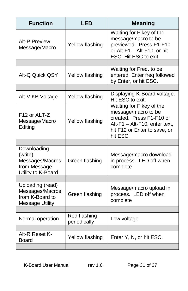| <b>Function</b>                                                                  | <b>LED</b>                   | <b>Meaning</b>                                                                                                                                           |
|----------------------------------------------------------------------------------|------------------------------|----------------------------------------------------------------------------------------------------------------------------------------------------------|
| <b>Alt-P Preview</b><br>Message/Macro                                            | Yellow flashing              | Waiting for F key of the<br>message/macro to be<br>previewed. Press F1-F10<br>or Alt-F1 - Alt-F10, or hit<br>ESC. Hit ESC to exit.                       |
|                                                                                  |                              |                                                                                                                                                          |
| Alt-Q Quick QSY                                                                  | Yellow flashing              | Waiting for Freq. to be<br>entered. Enter freq followed<br>by Enter, or hit ESC.                                                                         |
|                                                                                  |                              |                                                                                                                                                          |
| Alt-V KB Voltage                                                                 | Yellow flashing              | Displaying K-Board voltage.<br>Hit ESC to exit.                                                                                                          |
| F12 or ALT-Z<br>Message/Macro<br>Editing                                         | Yellow flashing              | Waiting for F key of the<br>message/macro to be<br>created. Press F1-F10 or<br>Alt-F1 - Alt-F10, enter text,<br>hit F12 or Enter to save, or<br>hit ESC. |
|                                                                                  |                              |                                                                                                                                                          |
| Downloading<br>(write)<br>Messages/Macros<br>from Message<br>Utility to K-Board  | Green flashing               | Message/macro download<br>in process. LED off when<br>complete                                                                                           |
|                                                                                  |                              |                                                                                                                                                          |
| Uploading (read)<br>Messages/Macros<br>from K-Board to<br><b>Message Utility</b> | Green flashing               | Message/macro upload in<br>process. LED off when<br>complete                                                                                             |
|                                                                                  |                              |                                                                                                                                                          |
| Normal operation                                                                 | Red flashing<br>periodically | Low voltage                                                                                                                                              |
|                                                                                  |                              |                                                                                                                                                          |
| Alt-R Reset K-<br><b>Board</b>                                                   | Yellow flashing              | Enter Y, N, or hit ESC.                                                                                                                                  |
|                                                                                  |                              |                                                                                                                                                          |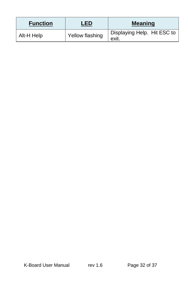| <b>Function</b> | I FD            | <b>Meaning</b>                       |
|-----------------|-----------------|--------------------------------------|
| Alt-H Help      | Yellow flashing | Displaying Help. Hit ESC to<br>exit. |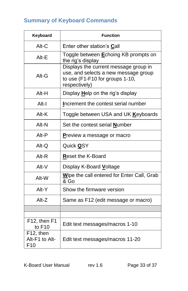# <span id="page-32-0"></span>**Summary of Keyboard Commands**

| Keyboard                                       | <b>Function</b>                                                                                                                   |
|------------------------------------------------|-----------------------------------------------------------------------------------------------------------------------------------|
| Alt-C                                          | Enter other station's Call                                                                                                        |
| Alt-E                                          | Toggle between <b>E</b> choing KB prompts on<br>the rig's display                                                                 |
| Alt-G                                          | Displays the current message group in<br>use, and selects a new message group<br>to use (F1-F10 for groups 1-10,<br>respectively) |
| Alt-H                                          | Display Help on the rig's display                                                                                                 |
| Alt-I                                          | Increment the contest serial number                                                                                               |
| Alt-K                                          | Toggle between USA and UK Keyboards                                                                                               |
| Alt-N                                          | Set the contest serial <b>Number</b>                                                                                              |
| Alt-P                                          | <b>Preview a message or macro</b>                                                                                                 |
| $Alt-Q$                                        | Quick <b>Q</b> SY                                                                                                                 |
| Alt-R                                          | Reset the K-Board                                                                                                                 |
| Alt-V                                          | Display K-Board Voltage                                                                                                           |
| Alt-W                                          | Wipe the call entered for Enter Call, Grab<br>& Go                                                                                |
| Alt-Y                                          | Show the firmware version                                                                                                         |
| Alt-Z                                          | Same as F12 (edit message or macro)                                                                                               |
|                                                |                                                                                                                                   |
| F12, then F1<br>to F10                         | Edit text messages/macros 1-10                                                                                                    |
| F12, then<br>Alt-F1 to Alt-<br>F <sub>10</sub> | Edit text messages/macros 11-20                                                                                                   |

K-Board User Manual rev 1.6 Page 33 of 37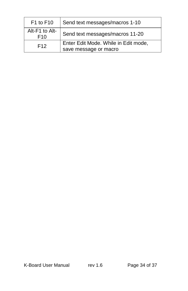| F1 to F10                         | Send text messages/macros 1-10       |
|-----------------------------------|--------------------------------------|
| Alt-F1 to Alt-<br>F <sub>10</sub> | Send text messages/macros 11-20      |
| F <sub>12</sub>                   | Enter Edit Mode. While in Edit mode, |
|                                   | save message or macro                |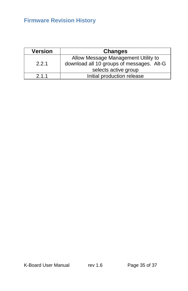# <span id="page-34-0"></span>**Firmware Revision History**

| <b>Version</b> | <b>Changes</b>                            |
|----------------|-------------------------------------------|
|                | Allow Message Management Utility to       |
| 2.2.1          | download all 10 groups of messages. Alt-G |
|                | selects active group                      |
| 2.1.1          | Initial production release                |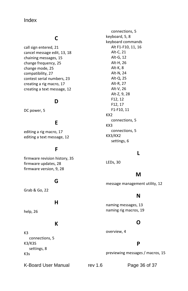#### Index

#### **C**

call sign entered, 21 cancel message edit, 13, 18 chaining messages, 15 change frequency, 25 change mode, 25 compatibility, 27 contest serial numbers, 23 creating a rig macro, 17 creating a text message, 12

#### **D**

DC power, 5

#### **E**

editing a rig macro, 17 editing a text message, 12

#### **F**

firmware revision history, 35 firmware updates, 28 firmware version, 9, 28

#### **G**

Grab & Go, 22

#### **H**

help, 26

#### **K**

K3 connections, 5 K3/K3S settings, 8 K3s

connections, 5 keyboard, 5, 8 keyboard commands Alt F1-F10, 11, 16 Alt-C, 21 Alt-G, 12 Alt-H, 26 Alt-K, 8 Alt-N, 24 Alt-Q, 25 Alt-R, 27 Alt-V, 26 Alt-Z, 9, 28 F12, 12 F12, 17 F1-F10, 11 KX2 connections, 5 KX3 connections, 5 KX3/KX2 settings, 6

#### **L**

LEDs, 30

#### **M**

message management utility, 12

#### **N**

naming messages, 13 naming rig macros, 19

#### **O**

overview, 4

#### **P**

previewing messages / macros, 15

K-Board User Manual rev 1.6 Page 36 of 37